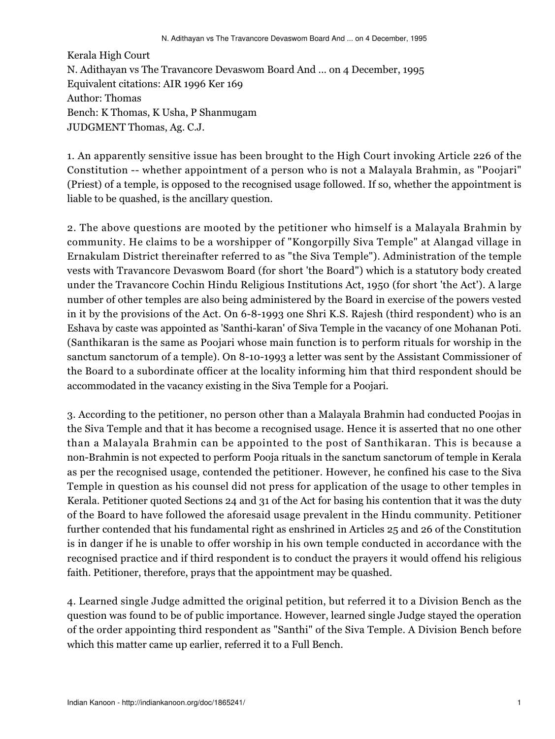Kerala High Court N. Adithayan vs The Travancore Devaswom Board And ... on 4 December, 1995 Equivalent citations: AIR 1996 Ker 169 Author: Thomas Bench: K Thomas, K Usha, P Shanmugam JUDGMENT Thomas, Ag. C.J.

1. An apparently sensitive issue has been brought to the High Court invoking Article 226 of the Constitution -- whether appointment of a person who is not a Malayala Brahmin, as "Poojari" (Priest) of a temple, is opposed to the recognised usage followed. If so, whether the appointment is liable to be quashed, is the ancillary question.

2. The above questions are mooted by the petitioner who himself is a Malayala Brahmin by community. He claims to be a worshipper of "Kongorpilly Siva Temple" at Alangad village in Ernakulam District thereinafter referred to as "the Siva Temple"). Administration of the temple vests with Travancore Devaswom Board (for short 'the Board") which is a statutory body created under the Travancore Cochin Hindu Religious Institutions Act, 1950 (for short 'the Act'). A large number of other temples are also being administered by the Board in exercise of the powers vested in it by the provisions of the Act. On 6-8-1993 one Shri K.S. Rajesh (third respondent) who is an Eshava by caste was appointed as 'Santhi-karan' of Siva Temple in the vacancy of one Mohanan Poti. (Santhikaran is the same as Poojari whose main function is to perform rituals for worship in the sanctum sanctorum of a temple). On 8-10-1993 a letter was sent by the Assistant Commissioner of the Board to a subordinate officer at the locality informing him that third respondent should be accommodated in the vacancy existing in the Siva Temple for a Poojari.

3. According to the petitioner, no person other than a Malayala Brahmin had conducted Poojas in the Siva Temple and that it has become a recognised usage. Hence it is asserted that no one other than a Malayala Brahmin can be appointed to the post of Santhikaran. This is because a non-Brahmin is not expected to perform Pooja rituals in the sanctum sanctorum of temple in Kerala as per the recognised usage, contended the petitioner. However, he confined his case to the Siva Temple in question as his counsel did not press for application of the usage to other temples in Kerala. Petitioner quoted Sections 24 and 31 of the Act for basing his contention that it was the duty of the Board to have followed the aforesaid usage prevalent in the Hindu community. Petitioner further contended that his fundamental right as enshrined in Articles 25 and 26 of the Constitution is in danger if he is unable to offer worship in his own temple conducted in accordance with the recognised practice and if third respondent is to conduct the prayers it would offend his religious faith. Petitioner, therefore, prays that the appointment may be quashed.

4. Learned single Judge admitted the original petition, but referred it to a Division Bench as the question was found to be of public importance. However, learned single Judge stayed the operation of the order appointing third respondent as "Santhi" of the Siva Temple. A Division Bench before which this matter came up earlier, referred it to a Full Bench.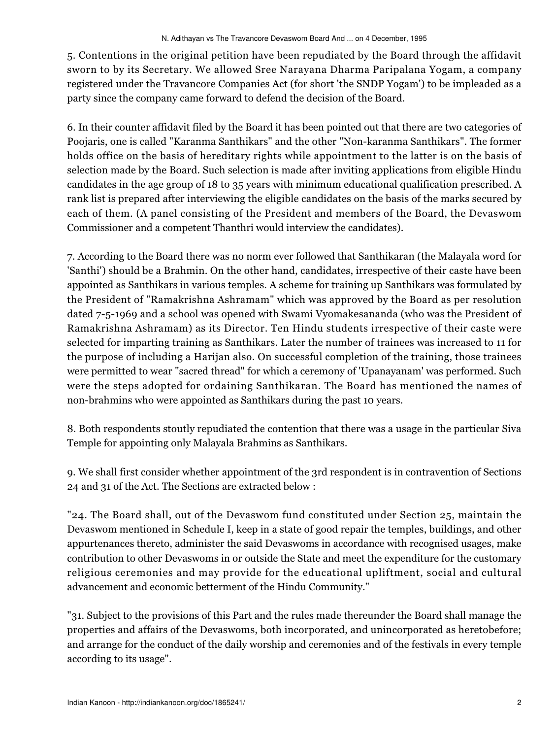5. Contentions in the original petition have been repudiated by the Board through the affidavit sworn to by its Secretary. We allowed Sree Narayana Dharma Paripalana Yogam, a company registered under the Travancore Companies Act (for short 'the SNDP Yogam') to be impleaded as a party since the company came forward to defend the decision of the Board.

6. In their counter affidavit filed by the Board it has been pointed out that there are two categories of Poojaris, one is called "Karanma Santhikars" and the other "Non-karanma Santhikars". The former holds office on the basis of hereditary rights while appointment to the latter is on the basis of selection made by the Board. Such selection is made after inviting applications from eligible Hindu candidates in the age group of 18 to 35 years with minimum educational qualification prescribed. A rank list is prepared after interviewing the eligible candidates on the basis of the marks secured by each of them. (A panel consisting of the President and members of the Board, the Devaswom Commissioner and a competent Thanthri would interview the candidates).

7. According to the Board there was no norm ever followed that Santhikaran (the Malayala word for 'Santhi') should be a Brahmin. On the other hand, candidates, irrespective of their caste have been appointed as Santhikars in various temples. A scheme for training up Santhikars was formulated by the President of "Ramakrishna Ashramam" which was approved by the Board as per resolution dated 7-5-1969 and a school was opened with Swami Vyomakesananda (who was the President of Ramakrishna Ashramam) as its Director. Ten Hindu students irrespective of their caste were selected for imparting training as Santhikars. Later the number of trainees was increased to 11 for the purpose of including a Harijan also. On successful completion of the training, those trainees were permitted to wear "sacred thread" for which a ceremony of 'Upanayanam' was performed. Such were the steps adopted for ordaining Santhikaran. The Board has mentioned the names of non-brahmins who were appointed as Santhikars during the past 10 years.

8. Both respondents stoutly repudiated the contention that there was a usage in the particular Siva Temple for appointing only Malayala Brahmins as Santhikars.

9. We shall first consider whether appointment of the 3rd respondent is in contravention of Sections 24 and 31 of the Act. The Sections are extracted below :

"24. The Board shall, out of the Devaswom fund constituted under Section 25, maintain the Devaswom mentioned in Schedule I, keep in a state of good repair the temples, buildings, and other appurtenances thereto, administer the said Devaswoms in accordance with recognised usages, make contribution to other Devaswoms in or outside the State and meet the expenditure for the customary religious ceremonies and may provide for the educational upliftment, social and cultural advancement and economic betterment of the Hindu Community."

"31. Subject to the provisions of this Part and the rules made thereunder the Board shall manage the properties and affairs of the Devaswoms, both incorporated, and unincorporated as heretobefore; and arrange for the conduct of the daily worship and ceremonies and of the festivals in every temple according to its usage".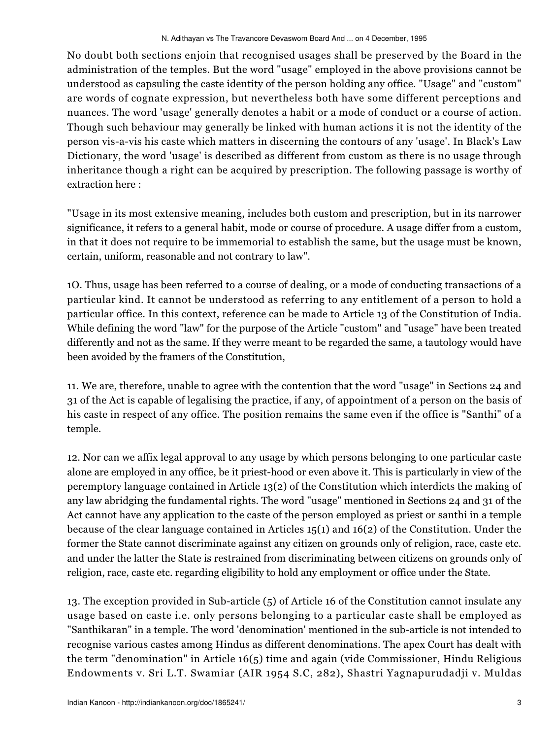No doubt both sections enjoin that recognised usages shall be preserved by the Board in the administration of the temples. But the word "usage" employed in the above provisions cannot be understood as capsuling the caste identity of the person holding any office. "Usage" and "custom" are words of cognate expression, but nevertheless both have some different perceptions and nuances. The word 'usage' generally denotes a habit or a mode of conduct or a course of action. Though such behaviour may generally be linked with human actions it is not the identity of the person vis-a-vis his caste which matters in discerning the contours of any 'usage'. In Black's Law Dictionary, the word 'usage' is described as different from custom as there is no usage through inheritance though a right can be acquired by prescription. The following passage is worthy of extraction here :

"Usage in its most extensive meaning, includes both custom and prescription, but in its narrower significance, it refers to a general habit, mode or course of procedure. A usage differ from a custom, in that it does not require to be immemorial to establish the same, but the usage must be known, certain, uniform, reasonable and not contrary to law".

1O. Thus, usage has been referred to a course of dealing, or a mode of conducting transactions of a particular kind. It cannot be understood as referring to any entitlement of a person to hold a particular office. In this context, reference can be made to Article 13 of the Constitution of India. While defining the word "law" for the purpose of the Article "custom" and "usage" have been treated differently and not as the same. If they werre meant to be regarded the same, a tautology would have been avoided by the framers of the Constitution,

11. We are, therefore, unable to agree with the contention that the word "usage" in Sections 24 and 31 of the Act is capable of legalising the practice, if any, of appointment of a person on the basis of his caste in respect of any office. The position remains the same even if the office is "Santhi" of a temple.

12. Nor can we affix legal approval to any usage by which persons belonging to one particular caste alone are employed in any office, be it priest-hood or even above it. This is particularly in view of the peremptory language contained in Article 13(2) of the Constitution which interdicts the making of any law abridging the fundamental rights. The word "usage" mentioned in Sections 24 and 31 of the Act cannot have any application to the caste of the person employed as priest or santhi in a temple because of the clear language contained in Articles 15(1) and 16(2) of the Constitution. Under the former the State cannot discriminate against any citizen on grounds only of religion, race, caste etc. and under the latter the State is restrained from discriminating between citizens on grounds only of religion, race, caste etc. regarding eligibility to hold any employment or office under the State.

13. The exception provided in Sub-article (5) of Article 16 of the Constitution cannot insulate any usage based on caste i.e. only persons belonging to a particular caste shall be employed as "Santhikaran" in a temple. The word 'denomination' mentioned in the sub-article is not intended to recognise various castes among Hindus as different denominations. The apex Court has dealt with the term "denomination" in Article 16(5) time and again (vide Commissioner, Hindu Religious Endowments v. Sri L.T. Swamiar (AIR 1954 S.C, 282), Shastri Yagnapurudadji v. Muldas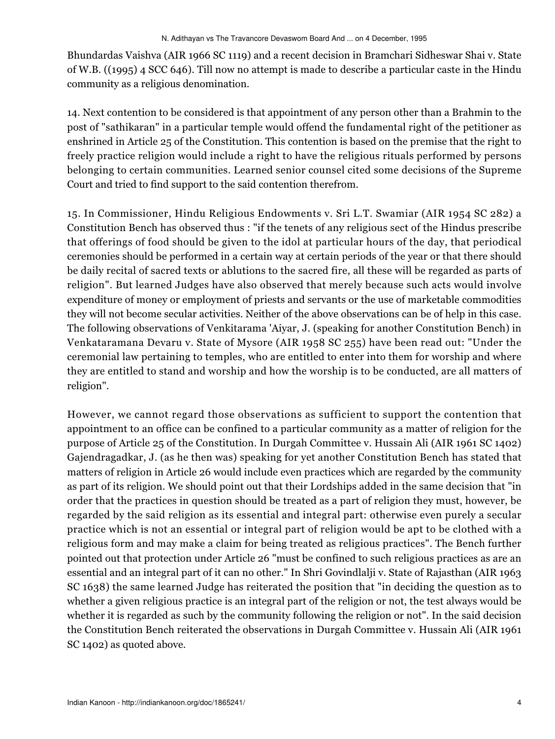Bhundardas Vaishva (AIR 1966 SC 1119) and a recent decision in Bramchari Sidheswar Shai v. State of W.B. ((1995) 4 SCC 646). Till now no attempt is made to describe a particular caste in the Hindu community as a religious denomination.

14. Next contention to be considered is that appointment of any person other than a Brahmin to the post of "sathikaran" in a particular temple would offend the fundamental right of the petitioner as enshrined in Article 25 of the Constitution. This contention is based on the premise that the right to freely practice religion would include a right to have the religious rituals performed by persons belonging to certain communities. Learned senior counsel cited some decisions of the Supreme Court and tried to find support to the said contention therefrom.

15. In Commissioner, Hindu Religious Endowments v. Sri L.T. Swamiar (AIR 1954 SC 282) a Constitution Bench has observed thus : "if the tenets of any religious sect of the Hindus prescribe that offerings of food should be given to the idol at particular hours of the day, that periodical ceremonies should be performed in a certain way at certain periods of the year or that there should be daily recital of sacred texts or ablutions to the sacred fire, all these will be regarded as parts of religion". But learned Judges have also observed that merely because such acts would involve expenditure of money or employment of priests and servants or the use of marketable commodities they will not become secular activities. Neither of the above observations can be of help in this case. The following observations of Venkitarama 'Aiyar, J. (speaking for another Constitution Bench) in Venkataramana Devaru v. State of Mysore (AIR 1958 SC 255) have been read out: "Under the ceremonial law pertaining to temples, who are entitled to enter into them for worship and where they are entitled to stand and worship and how the worship is to be conducted, are all matters of religion".

However, we cannot regard those observations as sufficient to support the contention that appointment to an office can be confined to a particular community as a matter of religion for the purpose of Article 25 of the Constitution. In Durgah Committee v. Hussain Ali (AIR 1961 SC 1402) Gajendragadkar, J. (as he then was) speaking for yet another Constitution Bench has stated that matters of religion in Article 26 would include even practices which are regarded by the community as part of its religion. We should point out that their Lordships added in the same decision that "in order that the practices in question should be treated as a part of religion they must, however, be regarded by the said religion as its essential and integral part: otherwise even purely a secular practice which is not an essential or integral part of religion would be apt to be clothed with a religious form and may make a claim for being treated as religious practices". The Bench further pointed out that protection under Article 26 "must be confined to such religious practices as are an essential and an integral part of it can no other." In Shri Govindlalji v. State of Rajasthan (AIR 1963 SC 1638) the same learned Judge has reiterated the position that "in deciding the question as to whether a given religious practice is an integral part of the religion or not, the test always would be whether it is regarded as such by the community following the religion or not". In the said decision the Constitution Bench reiterated the observations in Durgah Committee v. Hussain Ali (AIR 1961 SC 1402) as quoted above.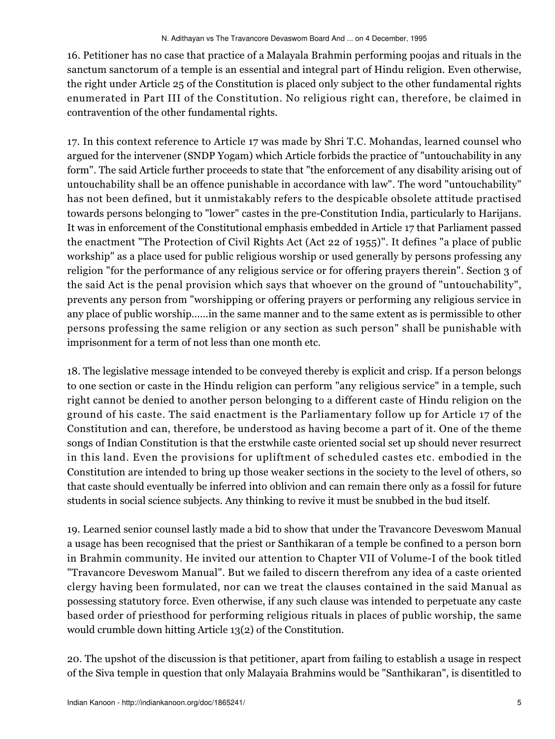16. Petitioner has no case that practice of a Malayala Brahmin performing poojas and rituals in the sanctum sanctorum of a temple is an essential and integral part of Hindu religion. Even otherwise, the right under Article 25 of the Constitution is placed only subject to the other fundamental rights enumerated in Part III of the Constitution. No religious right can, therefore, be claimed in contravention of the other fundamental rights.

17. In this context reference to Article 17 was made by Shri T.C. Mohandas, learned counsel who argued for the intervener (SNDP Yogam) which Article forbids the practice of "untouchability in any form". The said Article further proceeds to state that "the enforcement of any disability arising out of untouchability shall be an offence punishable in accordance with law". The word "untouchability" has not been defined, but it unmistakably refers to the despicable obsolete attitude practised towards persons belonging to "lower" castes in the pre-Constitution India, particularly to Harijans. It was in enforcement of the Constitutional emphasis embedded in Article 17 that Parliament passed the enactment "The Protection of Civil Rights Act (Act 22 of 1955)". It defines "a place of public workship" as a place used for public religious worship or used generally by persons professing any religion "for the performance of any religious service or for offering prayers therein". Section 3 of the said Act is the penal provision which says that whoever on the ground of "untouchability", prevents any person from "worshipping or offering prayers or performing any religious service in any place of public worship......in the same manner and to the same extent as is permissible to other persons professing the same religion or any section as such person" shall be punishable with imprisonment for a term of not less than one month etc.

18. The legislative message intended to be conveyed thereby is explicit and crisp. If a person belongs to one section or caste in the Hindu religion can perform "any religious service" in a temple, such right cannot be denied to another person belonging to a different caste of Hindu religion on the ground of his caste. The said enactment is the Parliamentary follow up for Article 17 of the Constitution and can, therefore, be understood as having become a part of it. One of the theme songs of Indian Constitution is that the erstwhile caste oriented social set up should never resurrect in this land. Even the provisions for upliftment of scheduled castes etc. embodied in the Constitution are intended to bring up those weaker sections in the society to the level of others, so that caste should eventually be inferred into oblivion and can remain there only as a fossil for future students in social science subjects. Any thinking to revive it must be snubbed in the bud itself.

19. Learned senior counsel lastly made a bid to show that under the Travancore Deveswom Manual a usage has been recognised that the priest or Santhikaran of a temple be confined to a person born in Brahmin community. He invited our attention to Chapter VII of Volume-I of the book titled "Travancore Deveswom Manual". But we failed to discern therefrom any idea of a caste oriented clergy having been formulated, nor can we treat the clauses contained in the said Manual as possessing statutory force. Even otherwise, if any such clause was intended to perpetuate any caste based order of priesthood for performing religious rituals in places of public worship, the same would crumble down hitting Article 13(2) of the Constitution.

20. The upshot of the discussion is that petitioner, apart from failing to establish a usage in respect of the Siva temple in question that only Malayaia Brahmins would be "Santhikaran", is disentitled to